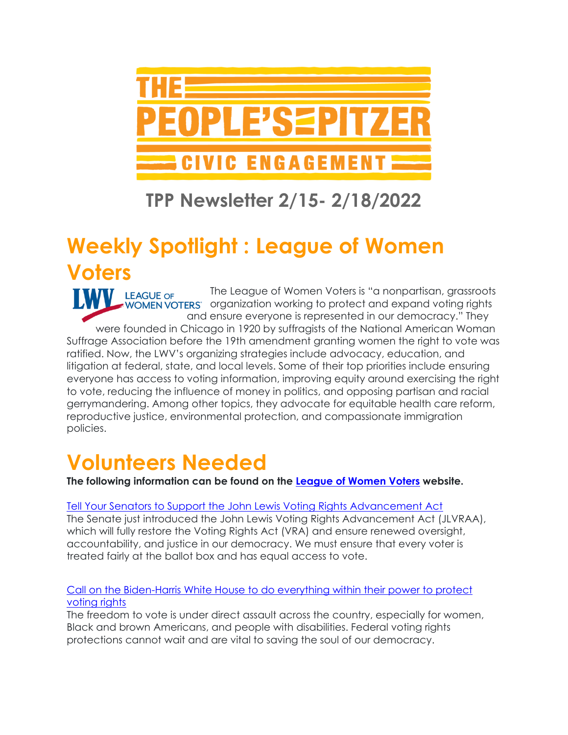

### **TPP Newsletter 2/15- 2/18/2022**

## **Weekly Spotlight : League of Women Voters**

The League of Women Voters is "a nonpartisan, grassroots LEAGUE OF WOMEN VOTERS organization working to protect and expand voting rights and ensure everyone is represented in our democracy." They were founded in Chicago in 1920 by suffragists of the National American Woman Suffrage Association before the 19th amendment granting women the right to vote was ratified. Now, the LWV's organizing strategies include advocacy, education, and litigation at federal, state, and local levels. Some of their top priorities include ensuring everyone has access to voting information, improving equity around exercising the right to vote, reducing the influence of money in politics, and opposing partisan and racial gerrymandering. Among other topics, they advocate for equitable health care reform, reproductive justice, environmental protection, and compassionate immigration policies.

## **Volunteers Needed**

**The following information can be found on the [League of Women Voters](http://participate.lwv.org/c/10065/p/dia/action4/common/public/?action_KEY=14393&_gl=1*szc6lc*_ga*MjA4Mzc1NjQ4OS4xNjQ0NTI3OTg4*_ga_DDCEP0D6KM*MTY0NDUyNzk4Ny4xLjEuMTY0NDUyODU4OC4w&_ga=2.136442928.1477036958.1644527988-2083756489.1644527988) website.**

#### [Tell Your Senators to Support the John Lewis Voting Rights Advancement Act](http://participate.lwv.org/c/10065/p/dia/action4/common/public/?action_KEY=14393&_gl=1*szc6lc*_ga*MjA4Mzc1NjQ4OS4xNjQ0NTI3OTg4*_ga_DDCEP0D6KM*MTY0NDUyNzk4Ny4xLjEuMTY0NDUyODU4OC4w&_ga=2.136442928.1477036958.1644527988-2083756489.1644527988)

The Senate just introduced the John Lewis Voting Rights Advancement Act (JLVRAA), which will fully restore the Voting Rights Act (VRA) and ensure renewed oversight, accountability, and justice in our democracy. We must ensure that every voter is treated fairly at the ballot box and has equal access to vote.

#### [Call on the Biden-Harris White House to do everything within their power to protect](http://participate.lwv.org/c/10065/p/dia/action4/common/public/?action_KEY=14326&_gl=1*1cfs2pg*_ga*MjA4Mzc1NjQ4OS4xNjQ0NTI3OTg4*_ga_DDCEP0D6KM*MTY0NDUyNzk4Ny4xLjEuMTY0NDUyODc1Ny4w&_ga=2.128499468.1477036958.1644527988-2083756489.1644527988)  [voting rights](http://participate.lwv.org/c/10065/p/dia/action4/common/public/?action_KEY=14326&_gl=1*1cfs2pg*_ga*MjA4Mzc1NjQ4OS4xNjQ0NTI3OTg4*_ga_DDCEP0D6KM*MTY0NDUyNzk4Ny4xLjEuMTY0NDUyODc1Ny4w&_ga=2.128499468.1477036958.1644527988-2083756489.1644527988)

The freedom to vote is under direct assault across the country, especially for women, Black and brown Americans, and people with disabilities. Federal voting rights protections cannot wait and are vital to saving the soul of our democracy.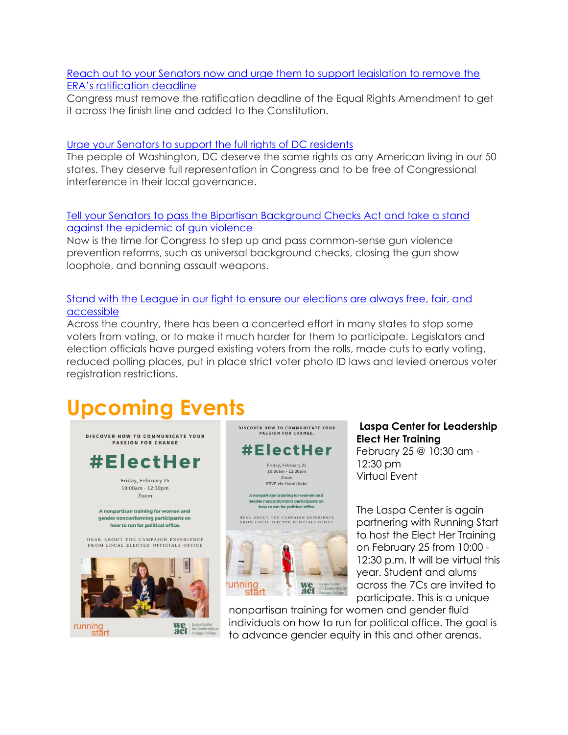[Reach out to your Senators now and urge them to support legislation to remove the](https://salsa.wiredforchange.com/o/5950/c/10065/p/dia/action4/common/public/?action_KEY=14263&_gl=1*vw2q7m*_ga*MjA4Mzc1NjQ4OS4xNjQ0NTI3OTg4*_ga_DDCEP0D6KM*MTY0NDUyNzk4Ny4xLjEuMTY0NDUyODc5NC4w&_ga=2.128499468.1477036958.1644527988-2083756489.1644527988)  [ERA's ratification dea](https://salsa.wiredforchange.com/o/5950/c/10065/p/dia/action4/common/public/?action_KEY=14263&_gl=1*vw2q7m*_ga*MjA4Mzc1NjQ4OS4xNjQ0NTI3OTg4*_ga_DDCEP0D6KM*MTY0NDUyNzk4Ny4xLjEuMTY0NDUyODc5NC4w&_ga=2.128499468.1477036958.1644527988-2083756489.1644527988)dline

Congress must remove the ratification deadline of the Equal Rights Amendment to get it across the finish line and added to the Constitution.

#### [Urge your Senators to support the full rights of DC residents](https://salsa.wiredforchange.com/o/5950/c/10065/p/dia/action4/common/public/?action_KEY=14203&_gl=1*a1oyu*_ga*MjA4Mzc1NjQ4OS4xNjQ0NTI3OTg4*_ga_DDCEP0D6KM*MTY0NDUyNzk4Ny4xLjEuMTY0NDUyODc5NC4w&_ga=2.32232638.1477036958.1644527988-2083756489.1644527988)

The people of Washington, DC deserve the same rights as any American living in our 50 states. They deserve full representation in Congress and to be free of Congressional interference in their local governance.

#### [Tell your Senators to pass the Bipartisan Background Checks Act and take a stand](https://salsa.wiredforchange.com/o/5950/p/dia/action4/common/public/?action_KEY=14221&okay=true&_gl=1*1eaogdq*_ga*MjA4Mzc1NjQ4OS4xNjQ0NTI3OTg4*_ga_DDCEP0D6KM*MTY0NDUyNzk4Ny4xLjEuMTY0NDUyODg4MC4w&_ga=2.32232638.1477036958.1644527988-2083756489.1644527988)  [against the epidemic of gun violence](https://salsa.wiredforchange.com/o/5950/p/dia/action4/common/public/?action_KEY=14221&okay=true&_gl=1*1eaogdq*_ga*MjA4Mzc1NjQ4OS4xNjQ0NTI3OTg4*_ga_DDCEP0D6KM*MTY0NDUyNzk4Ny4xLjEuMTY0NDUyODg4MC4w&_ga=2.32232638.1477036958.1644527988-2083756489.1644527988)

Now is the time for Congress to step up and pass common-sense gun violence prevention reforms, such as universal background checks, closing the gun show loophole, and banning assault weapons.

#### [Stand with the League in our fight to ensure our elections are always free, fair, and](https://salsa.wiredforchange.com/o/5950/c/10065/p/dia/action3/common/public/?action_KEY=12567&_gl=1*1eaogdq*_ga*MjA4Mzc1NjQ4OS4xNjQ0NTI3OTg4*_ga_DDCEP0D6KM*MTY0NDUyNzk4Ny4xLjEuMTY0NDUyODg4MC4w&_ga=2.32232638.1477036958.1644527988-2083756489.1644527988)  [accessible](https://salsa.wiredforchange.com/o/5950/c/10065/p/dia/action3/common/public/?action_KEY=12567&_gl=1*1eaogdq*_ga*MjA4Mzc1NjQ4OS4xNjQ0NTI3OTg4*_ga_DDCEP0D6KM*MTY0NDUyNzk4Ny4xLjEuMTY0NDUyODg4MC4w&_ga=2.32232638.1477036958.1644527988-2083756489.1644527988)

Across the country, there has been a concerted effort in many states to stop some voters from voting, or to make it much harder for them to participate. Legislators and election officials have purged existing voters from the rolls, made cuts to early voting, reduced polling places, put in place strict voter photo ID laws and levied onerous voter registration restrictions.

# **Upcoming Events**





Friday, February 25 10:00am - 12:30pm Zoom<br>RSVP via Handshake

A nonpartisan training for women and nder nonconforming participants on<br>how to run for political office

HEAR ABOUT THE CAMPAIGN EXPERIENCE<br>FROM LOCAL ELECTED OFFICIALS OFFICE



**Laspa Center for Leadership Elect Her Training** February 25 @ 10:30 am - 12:30 pm

Virtual Event

The Laspa Center is again partnering with Running Start to host the Elect Her Training on February 25 from 10:00 - 12:30 p.m. It will be virtual this year. Student and alums across the 7Cs are invited to participate. This is a unique

nonpartisan training for women and gender fluid individuals on how to run for political office. The goal is to advance gender equity in this and other arenas.